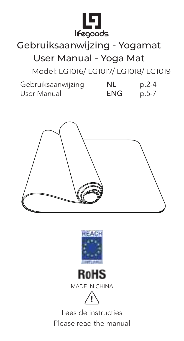

## Gebruiksaanwijzing - Yogamat

User Manual - Yoga Mat

Model: LG1016/ LG1017/ LG1018/ LG1019

| Gebruiksaanwijzing | NL  | $p.2-4$ |
|--------------------|-----|---------|
| User Manual        | ENG | $p.5-7$ |







MADE IN CHINA



Lees de instructies Please read the manual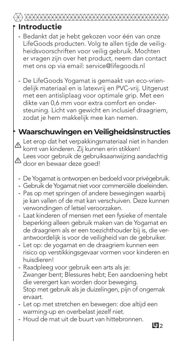## **Introductie**

- Bedankt dat je hebt gekozen voor één van onze LifeGoods producten. Volg te allen tijde de veiligheidsvoorschriften voor veilig gebruik. Mochten er vragen zijn over het product, neem dan contact met ons op via email: service@lifegoods.nl
- De LifeGoods Yogamat is gemaakt van eco-vrien- delijk materiaal en is latexvrij en PVC-vrij. Uitgerust met een antisliplaag voor optimale grip. Met een dikte van 0,6 mm voor extra comfort en ondersteuning. Licht van gewicht en inclusief draagriem, zodat je hem makkelijk mee kan nemen.

#### **Waarschuwingen en Veiligheidsinstructies**

Let erop dat het verpakkingsmateriaal niet in handen komt van kinderen. Zij kunnen erin stikken! **!** Lees voor gebruik de gebruiksaanwijzing aandachtig door en bewaar deze goed! **!**

- De Yogamat is ontworpen en bedoeld voor privégebruik. -
- Gebruik de Yogamat niet voor commerciële doeleinden. -
- Pas op met springen of andere bewegingen waarbij je kan vallen of de mat kan verschuiven. Deze kunnen verwondingen of letsel veroorzaken.
- Laat kinderen of mensen met een fysieke of mentale beperking alleen gebruik maken van de Yogamat en de draagriem als er een toezichthouder bij is, die verantwoordelijk is voor de veiligheid van de gebruiker.
- Let op: de yogamat en de draagriem kunnen een risico op verstikkingsgevaar vormen voor kinderen en huisdieren!
- Raadpleeg voor gebruik een arts als je: Zwanger bent; Blessures hebt; Een aandoening hebt die verergert kan worden door beweging. Stop met gebruik als je duizelingen, pijn of ongemak ervaart.
- Let op met stretchen en bewegen: doe altijd een warming-up en overbelast jezelf niet.
- Houd de mat uit de buurt van hittebronnen. -

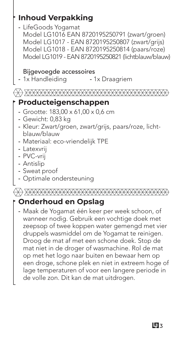## **Inhoud Verpakking**

LifeGoods Yogamat -

Model LG1016 EAN 8720195250791 (zwart/groen) Model LG1017 - EAN 8720195250807 (zwart/grijs) Model LG1018 - EAN 8720195250814 (paars/roze) Model LG1019 - EAN 8720195250821 (lichtblauw/blauw)

#### Bijgevoegde accessoires

- 1x Draagriem - 1x Handleiding

#### 

#### **Producteigenschappen**

- Grootte: 183,00 x 61,00 x 0,6 cm -
- Gewicht: 0,83 kg -
- Kleur: Zwart/groen, zwart/grijs, paars/roze, licht- blauw/blauw
- Materiaal: eco-vriendelijk TPE -
- Latexvrij -
- PVC-vrij -
- Antislip -
- Sweat proof -
- Optimale ondersteuning -

#### (R) XXXXXXXXXXXXXXXXXXXXXXXXXXXXXXXXX

## **Onderhoud en Opslag**

Maak de Yogamat één keer per week schoon, of wanneer nodig. Gebruik een vochtige doek met zeepsop of twee koppen water gemengd met vier druppels wasmiddel om de Yogamat te reinigen. Droog de mat af met een schone doek. Stop de mat niet in de droger of wasmachine. Rol de mat op met het logo naar buiten en bewaar hem op een droge, schone plek en niet in extreem hoge of lage temperaturen of voor een langere periode in de volle zon. Dit kan de mat uitdrogen.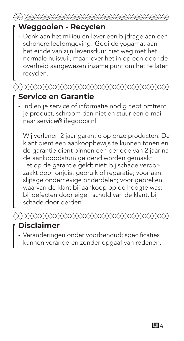#### **Weggooien - Recyclen**

Denk aan het milieu en lever een bijdrage aan een schonere leefomgeving! Gooi de yogamat aan het einde van zijn levensduur niet weg met het normale huisvuil, maar lever het in op een door de overheid aangewezen inzamelpunt om het te laten recyclen.

## **Service en Garantie**

- Indien je service of informatie nodig hebt omtrent je product, schroom dan niet en stuur een e-mail naar service@lifegoods.nl

Wij verlenen 2 jaar garantie op onze producten. De klant dient een aankoopbewijs te kunnen tonen en de garantie dient binnen een periode van 2 jaar na de aankoopdatum geldend worden gemaakt. Let op de garantie geldt niet: bij schade veroorzaakt door onjuist gebruik of reparatie; voor aan slijtage onderhevige onderdelen; voor gebreken waarvan de klant bij aankoop op de hoogte was; bij defecten door eigen schuld van de klant, bij schade door derden.



#### **Disclaimer**

Veranderingen onder voorbehoud; specificaties kunnen veranderen zonder opgaaf van redenen. -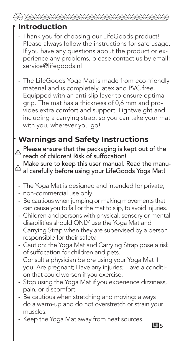#### **Introduction**

#### Thank you for choosing our LifeGoods product! - Please always follow the instructions for safe usage. If you have any questions about the product or experience any problems, please contact us by email: service@lifegoods.nl

The LifeGoods Yoga Mat is made from eco-friendly material and is completely latex and PVC free. Equipped with an anti-slip layer to ensure optimal grip. The mat has a thickness of 0,6 mm and provides extra comfort and support. Lightweight and including a carrying strap, so you can take your mat with you, wherever you go!

## **Warnings and Safety Instructions**

Please ensure that the packaging is kept out of the reach of children! Risk of suffocation! **!**

Make sure to keep this user manual. Read the manual carefully before using your LifeGoods Yoga Mat! **!**

- The Yoga Mat is designed and intended for private, -
- non-commercial use only. -
- Be cautious when jumping or making movements that can cause you to fall or the mat to slip, to avoid injuries.
- Children and persons with physical, sensory or mental disabilities should ONLY use the Yoga Mat and Carrying Strap when they are supervised by a person responsible for their safety.
- Caution: the Yoga Mat and Carrying Strap pose a risk of suffocation for children and pets. Consult a physician before using your Yoga Mat if you: Are pregnant; Have any injuries; Have a condition that could worsen if you exercise.
- Stop using the Yoga Mat if you experience dizziness, pain, or discomfort.
- Be cautious when stretching and moving: always do a warm-up and do not overstretch or strain your muscles.
- Keep the Yoga Mat away from heat sources.

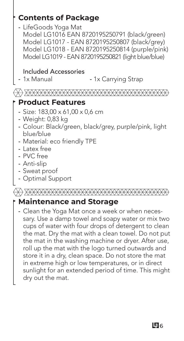

the mat in the washing machine or dryer. After use, roll up the mat with the logo turned outwards and store it in a dry, clean space. Do not store the mat in extreme high or low temperatures, or in direct sunlight for an extended period of time. This might dry out the mat.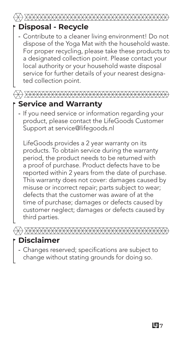#### **Disposal - Recycle**

Contribute to a cleaner living environment! Do not dispose of the Yoga Mat with the household waste. For proper recycling, please take these products to a designated collection point. Please contact your local authority or your household waste disposal service for further details of your nearest designated collection point.

# 

## **Service and Warranty**

- If you need service or information regarding your product, please contact the LifeGoods Customer Support at service@lifegoods.nl

LifeGoods provides a 2 year warranty on its products. To obtain service during the warranty period, the product needs to be returned with a proof of purchase. Product defects have to be reported within 2 years from the date of purchase. This warranty does not cover: damages caused by misuse or incorrect repair; parts subject to wear; defects that the customer was aware of at the time of purchase; damages or defects caused by customer neglect; damages or defects caused by third parties.

#### **Disclaimer**

Changes reserved; specifications are subject to change without stating grounds for doing so.